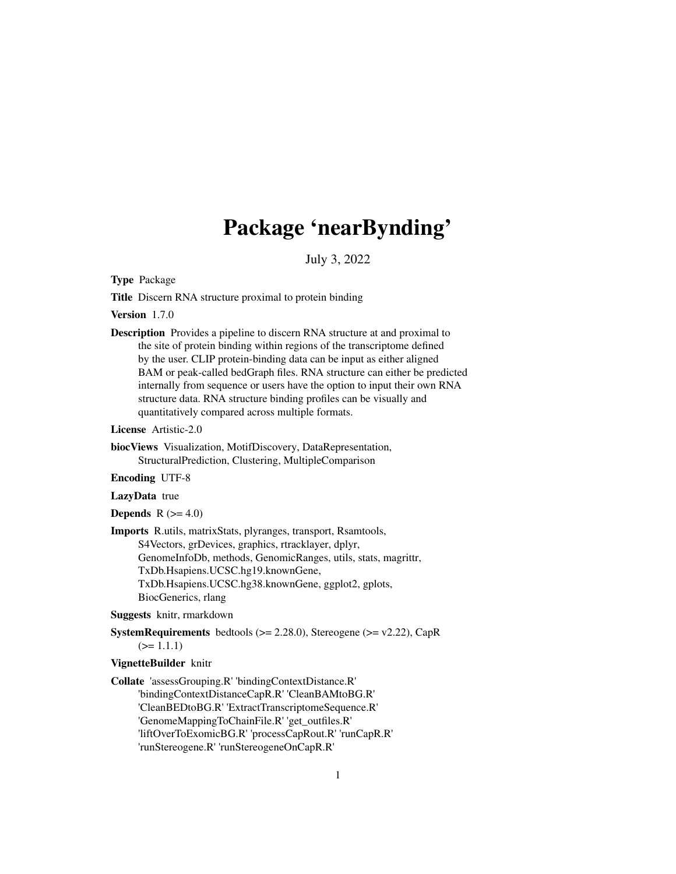# Package 'nearBynding'

July 3, 2022

Type Package

Title Discern RNA structure proximal to protein binding

Version 1.7.0

Description Provides a pipeline to discern RNA structure at and proximal to the site of protein binding within regions of the transcriptome defined by the user. CLIP protein-binding data can be input as either aligned BAM or peak-called bedGraph files. RNA structure can either be predicted internally from sequence or users have the option to input their own RNA structure data. RNA structure binding profiles can be visually and quantitatively compared across multiple formats.

License Artistic-2.0

biocViews Visualization, MotifDiscovery, DataRepresentation, StructuralPrediction, Clustering, MultipleComparison

Encoding UTF-8

LazyData true

**Depends**  $R$  ( $>= 4.0$ )

Imports R.utils, matrixStats, plyranges, transport, Rsamtools, S4Vectors, grDevices, graphics, rtracklayer, dplyr, GenomeInfoDb, methods, GenomicRanges, utils, stats, magrittr, TxDb.Hsapiens.UCSC.hg19.knownGene, TxDb.Hsapiens.UCSC.hg38.knownGene, ggplot2, gplots, BiocGenerics, rlang

Suggests knitr, rmarkdown

**SystemRequirements** bedtools  $(>= 2.28.0)$ , Stereogene  $(>= v2.22)$ , CapR  $(>= 1.1.1)$ 

#### VignetteBuilder knitr

Collate 'assessGrouping.R' 'bindingContextDistance.R' 'bindingContextDistanceCapR.R' 'CleanBAMtoBG.R' 'CleanBEDtoBG.R' 'ExtractTranscriptomeSequence.R' 'GenomeMappingToChainFile.R' 'get\_outfiles.R' 'liftOverToExomicBG.R' 'processCapRout.R' 'runCapR.R' 'runStereogene.R' 'runStereogeneOnCapR.R'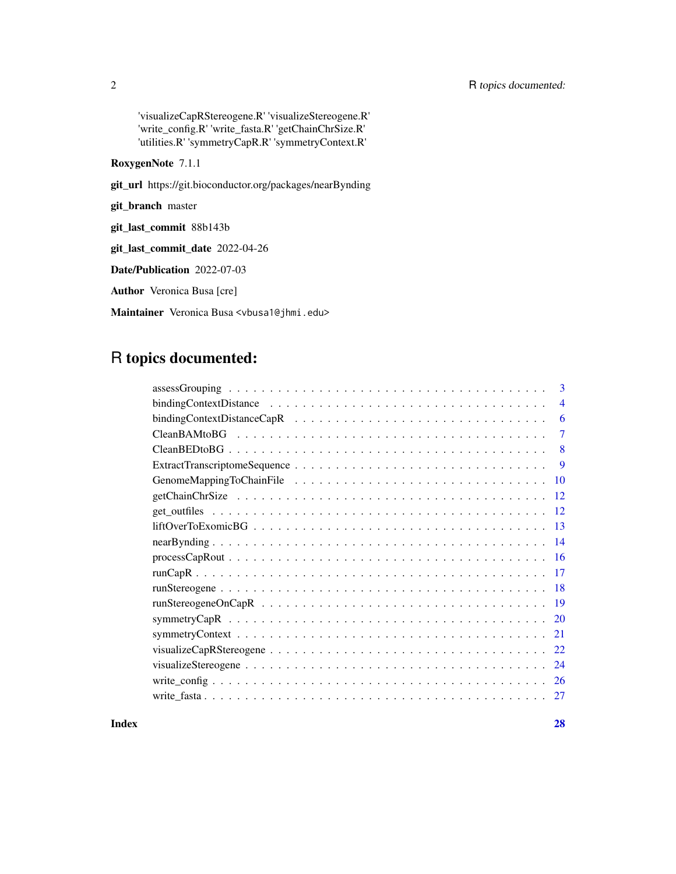# 2 R topics documented:

'visualizeCapRStereogene.R' 'visualizeStereogene.R' 'write\_config.R' 'write\_fasta.R' 'getChainChrSize.R' 'utilities.R' 'symmetryCapR.R' 'symmetryContext.R'

RoxygenNote 7.1.1

git\_url https://git.bioconductor.org/packages/nearBynding

git\_branch master

git\_last\_commit 88b143b

git\_last\_commit\_date 2022-04-26

Date/Publication 2022-07-03

Author Veronica Busa [cre]

Maintainer Veronica Busa <vbusa1@jhmi.edu>

# R topics documented:

**Index** [28](#page-27-0) **28**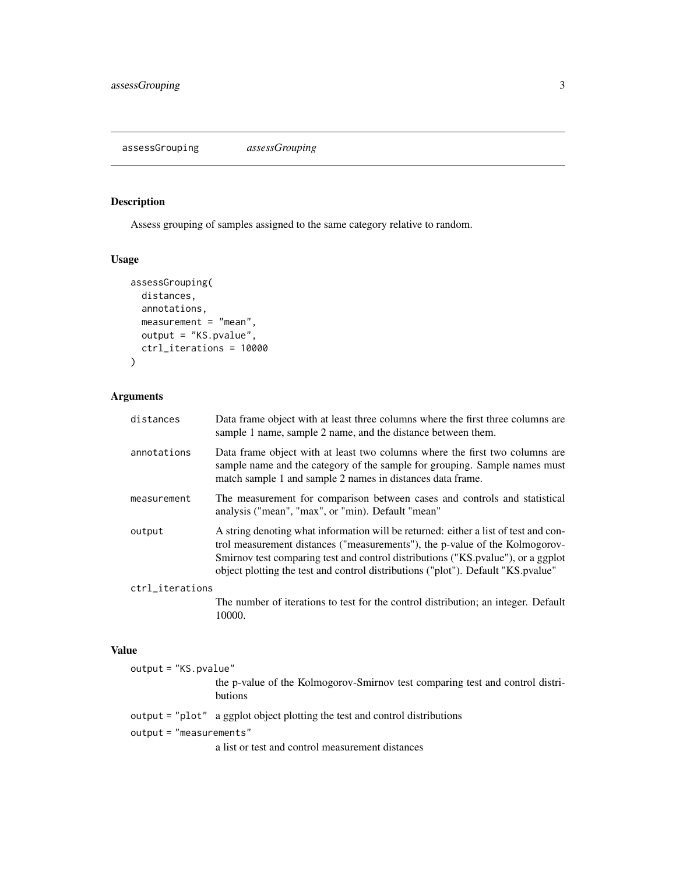# <span id="page-2-0"></span>Description

Assess grouping of samples assigned to the same category relative to random.

# Usage

```
assessGrouping(
 distances,
 annotations,
 measurement = "mean",
 output = "KS.pvalue",
 ctrl_iterations = 10000
)
```
# Arguments

| distances       | Data frame object with at least three columns where the first three columns are<br>sample 1 name, sample 2 name, and the distance between them.                                                                                                                                                                                              |
|-----------------|----------------------------------------------------------------------------------------------------------------------------------------------------------------------------------------------------------------------------------------------------------------------------------------------------------------------------------------------|
| annotations     | Data frame object with at least two columns where the first two columns are<br>sample name and the category of the sample for grouping. Sample names must<br>match sample 1 and sample 2 names in distances data frame.                                                                                                                      |
| measurement     | The measurement for comparison between cases and controls and statistical<br>analysis ("mean", "max", or "min). Default "mean"                                                                                                                                                                                                               |
| output          | A string denoting what information will be returned: either a list of test and con-<br>trol measurement distances ("measurements"), the p-value of the Kolmogorov-<br>Smirnov test comparing test and control distributions ("KS. pvalue"), or a ggplot<br>object plotting the test and control distributions ("plot"). Default "KS. pvalue" |
| ctrl_iterations |                                                                                                                                                                                                                                                                                                                                              |
|                 | The number of iterations to test for the control distribution; an integer. Default<br>10000.                                                                                                                                                                                                                                                 |

#### Value

| $output = "KS.push = "$   |                                                                                                 |
|---------------------------|-------------------------------------------------------------------------------------------------|
|                           | the p-value of the Kolmogorov-Smirnov test comparing test and control distri-<br><b>butions</b> |
|                           | output = "plot" a ggplot object plotting the test and control distributions                     |
| $output = "measurements"$ |                                                                                                 |
|                           | a list or test and control measurement distances                                                |
|                           |                                                                                                 |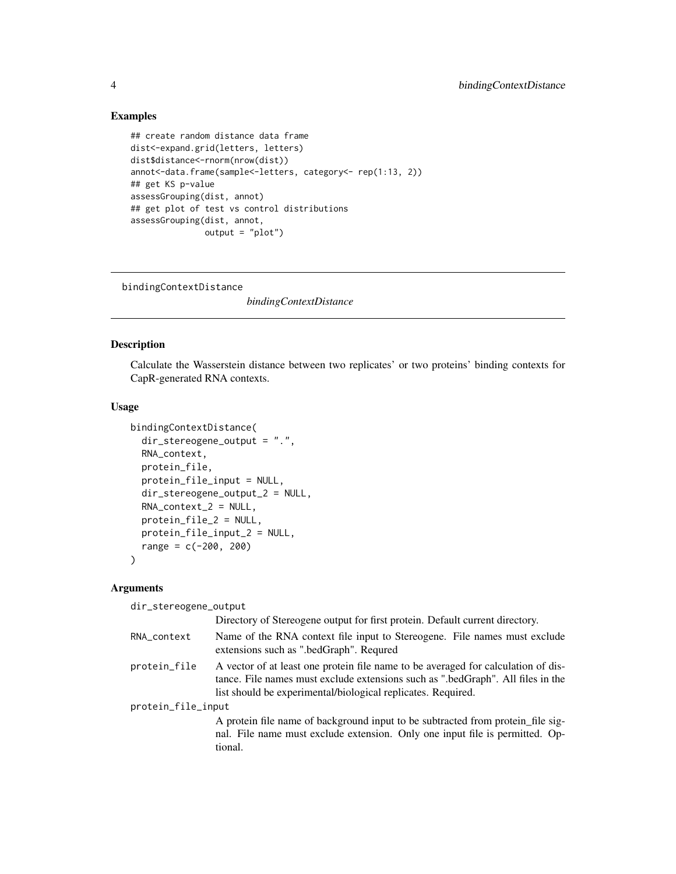# Examples

```
## create random distance data frame
dist<-expand.grid(letters, letters)
dist$distance<-rnorm(nrow(dist))
annot<-data.frame(sample<-letters, category<- rep(1:13, 2))
## get KS p-value
assessGrouping(dist, annot)
## get plot of test vs control distributions
assessGrouping(dist, annot,
               output = "plot")
```
bindingContextDistance

*bindingContextDistance*

#### Description

Calculate the Wasserstein distance between two replicates' or two proteins' binding contexts for CapR-generated RNA contexts.

#### Usage

```
bindingContextDistance(
  dir_stereogene_output = ".",
  RNA_context,
  protein_file,
  protein_file_input = NULL,
  dir_stereogene_output_2 = NULL,
  RNA\_context_2 = NULL,
  protein_file_2 = NULL,
 protein_file_input_2 = NULL,
  range = c(-200, 200))
```
#### Arguments

dir\_stereogene\_output

|                    | Directory of Stereogene output for first protein. Default current directory.                                                                                                                                                         |
|--------------------|--------------------------------------------------------------------------------------------------------------------------------------------------------------------------------------------------------------------------------------|
| RNA_context        | Name of the RNA context file input to Stereogene. File names must exclude<br>extensions such as ".bedGraph". Requred                                                                                                                 |
| protein_file       | A vector of at least one protein file name to be averaged for calculation of dis-<br>tance. File names must exclude extensions such as ".bedGraph". All files in the<br>list should be experimental/biological replicates. Required. |
| protein_file_input |                                                                                                                                                                                                                                      |
|                    | A protein file name of background input to be subtracted from protein_file sig-<br>nal. File name must exclude extension. Only one input file is permitted. Op-<br>tional.                                                           |

<span id="page-3-0"></span>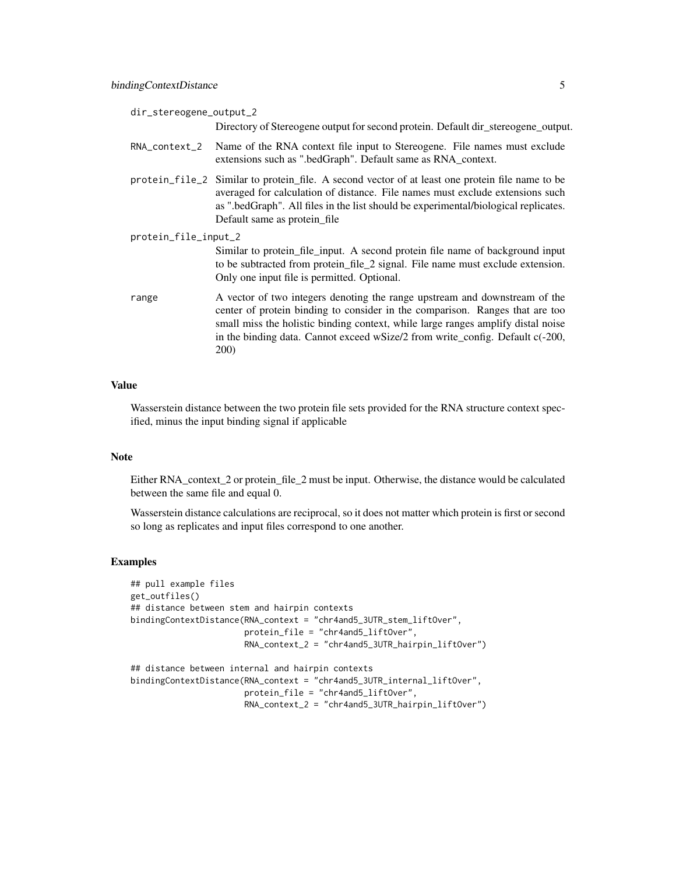|--|

Directory of Stereogene output for second protein. Default dir\_stereogene\_output.

- RNA\_context\_2 Name of the RNA context file input to Stereogene. File names must exclude extensions such as ".bedGraph". Default same as RNA\_context.
- protein\_file\_2 Similar to protein\_file. A second vector of at least one protein file name to be averaged for calculation of distance. File names must exclude extensions such as ".bedGraph". All files in the list should be experimental/biological replicates. Default same as protein\_file
- protein\_file\_input\_2 Similar to protein\_file\_input. A second protein file name of background input to be subtracted from protein\_file\_2 signal. File name must exclude extension. Only one input file is permitted. Optional.
- range A vector of two integers denoting the range upstream and downstream of the center of protein binding to consider in the comparison. Ranges that are too small miss the holistic binding context, while large ranges amplify distal noise in the binding data. Cannot exceed wSize/2 from write\_config. Default c(-200, 200)

#### Value

Wasserstein distance between the two protein file sets provided for the RNA structure context specified, minus the input binding signal if applicable

#### Note

Either RNA\_context\_2 or protein\_file\_2 must be input. Otherwise, the distance would be calculated between the same file and equal 0.

Wasserstein distance calculations are reciprocal, so it does not matter which protein is first or second so long as replicates and input files correspond to one another.

#### Examples

```
## pull example files
get_outfiles()
## distance between stem and hairpin contexts
bindingContextDistance(RNA_context = "chr4and5_3UTR_stem_liftOver",
                       protein_file = "chr4and5_liftOver",
                       RNA_context_2 = "chr4and5_3UTR_hairpin_liftOver")
```

```
## distance between internal and hairpin contexts
bindingContextDistance(RNA_context = "chr4and5_3UTR_internal_liftOver",
                      protein_file = "chr4and5_liftOver",
                      RNA_context_2 = "chr4and5_3UTR_hairpin_liftOver")
```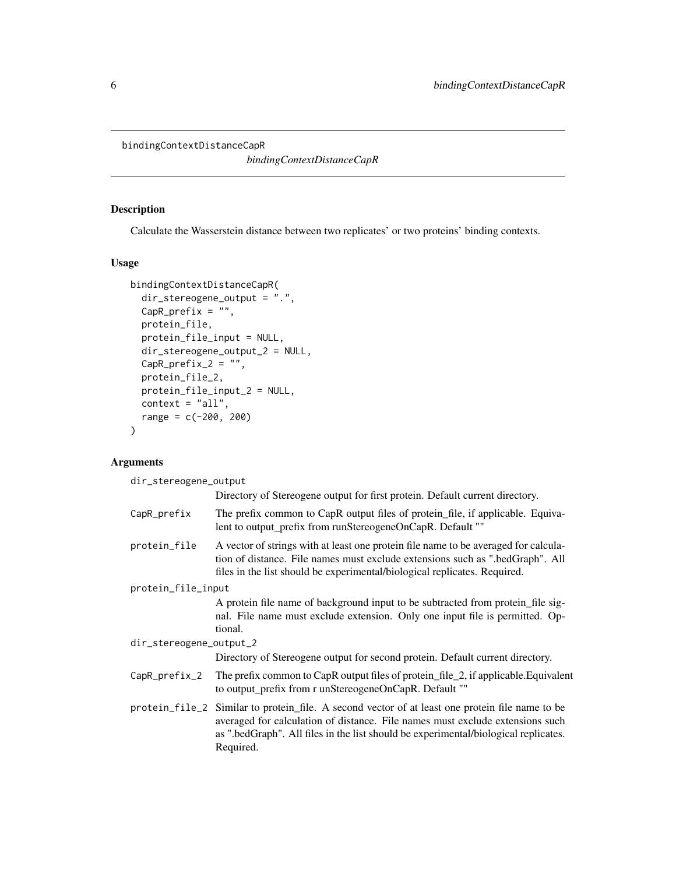<span id="page-5-0"></span>bindingContextDistanceCapR

*bindingContextDistanceCapR*

# Description

Calculate the Wasserstein distance between two replicates' or two proteins' binding contexts.

#### Usage

```
bindingContextDistanceCapR(
 dir_stereogene_output = ".",
 CapR_prefix = ",
 protein_file,
 protein_file_input = NULL,
 dir_stereogene_output_2 = NULL,
 CapR_prefix_2 = ",
 protein_file_2,
 protein_file_input_2 = NULL,
 context = "all",range = c(-200, 200))
```
# Arguments

dir\_stereogene\_output

|                         | Directory of Stereogene output for first protein. Default current directory.                                                                                                                                                                                                         |
|-------------------------|--------------------------------------------------------------------------------------------------------------------------------------------------------------------------------------------------------------------------------------------------------------------------------------|
| CapR_prefix             | The prefix common to CapR output files of protein_file, if applicable. Equiva-<br>lent to output_prefix from runStereogeneOnCapR. Default ""                                                                                                                                         |
| protein_file            | A vector of strings with at least one protein file name to be averaged for calcula-<br>tion of distance. File names must exclude extensions such as ".bedGraph". All<br>files in the list should be experimental/biological replicates. Required.                                    |
| protein_file_input      |                                                                                                                                                                                                                                                                                      |
|                         | A protein file name of background input to be subtracted from protein file sig-<br>nal. File name must exclude extension. Only one input file is permitted. Op-<br>tional.                                                                                                           |
| dir_stereogene_output_2 |                                                                                                                                                                                                                                                                                      |
|                         | Directory of Stereogene output for second protein. Default current directory.                                                                                                                                                                                                        |
| CapR_prefix_2           | The prefix common to CapR output files of protein_file_2, if applicable. Equivalent<br>to output_prefix from r unStereogeneOnCapR. Default ""                                                                                                                                        |
|                         | protein_file_2 Similar to protein_file. A second vector of at least one protein file name to be<br>averaged for calculation of distance. File names must exclude extensions such<br>as ".bedGraph". All files in the list should be experimental/biological replicates.<br>Required. |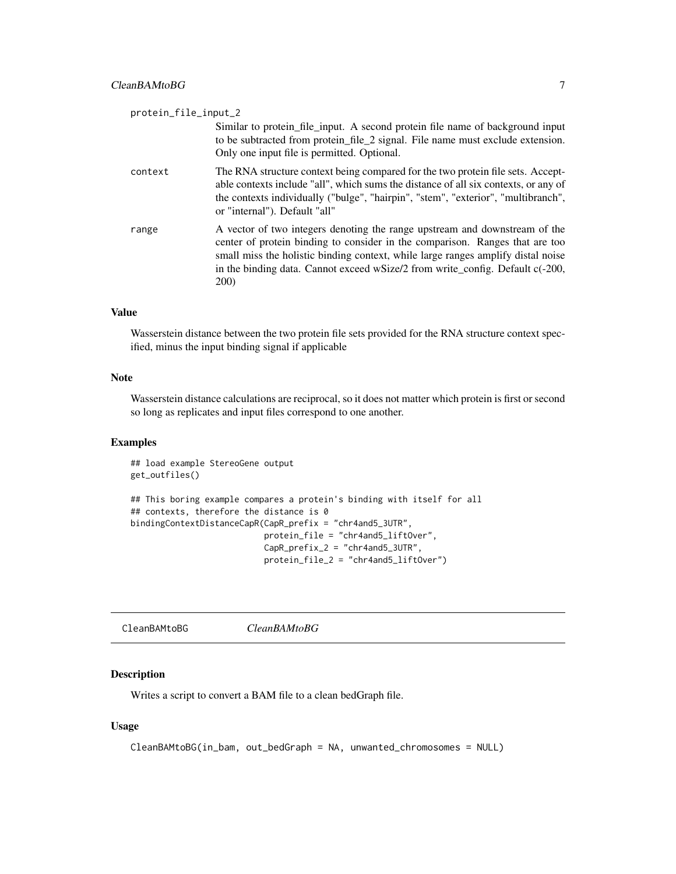<span id="page-6-0"></span>

| protein_file_input_2 |                                                                                                                                                                                                                                                                                                                                                 |
|----------------------|-------------------------------------------------------------------------------------------------------------------------------------------------------------------------------------------------------------------------------------------------------------------------------------------------------------------------------------------------|
|                      | Similar to protein file input. A second protein file name of background input<br>to be subtracted from protein_file_2 signal. File name must exclude extension.<br>Only one input file is permitted. Optional.                                                                                                                                  |
| context              | The RNA structure context being compared for the two protein file sets. Accept-<br>able contexts include "all", which sums the distance of all six contexts, or any of<br>the contexts individually ("bulge", "hairpin", "stem", "exterior", "multibranch",<br>or "internal"). Default "all"                                                    |
| range                | A vector of two integers denoting the range upstream and downstream of the<br>center of protein binding to consider in the comparison. Ranges that are too<br>small miss the holistic binding context, while large ranges amplify distal noise<br>in the binding data. Cannot exceed wSize/2 from write_config. Default c(-200,<br><b>200</b> ) |

Wasserstein distance between the two protein file sets provided for the RNA structure context specified, minus the input binding signal if applicable

#### Note

Wasserstein distance calculations are reciprocal, so it does not matter which protein is first or second so long as replicates and input files correspond to one another.

# Examples

## load example StereoGene output get\_outfiles()

```
## This boring example compares a protein's binding with itself for all
## contexts, therefore the distance is 0
bindingContextDistanceCapR(CapR_prefix = "chr4and5_3UTR",
                          protein_file = "chr4and5_liftOver",
                          CapR_prefix_2 = "chr4and5_3UTR",protein_file_2 = "chr4and5_liftOver")
```
CleanBAMtoBG *CleanBAMtoBG*

# Description

Writes a script to convert a BAM file to a clean bedGraph file.

# Usage

```
CleanBAMtoBG(in_bam, out_bedGraph = NA, unwanted_chromosomes = NULL)
```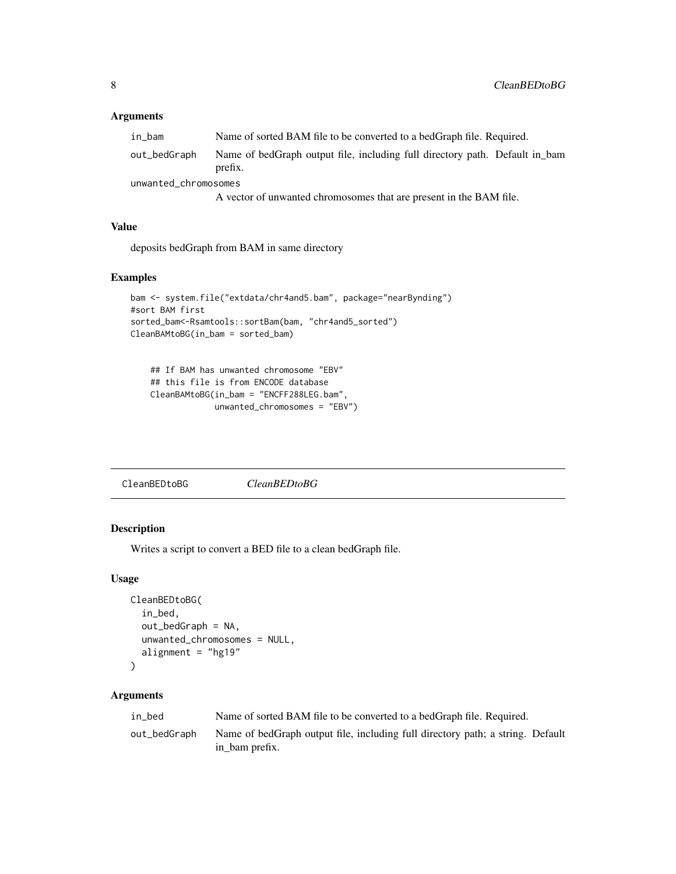# <span id="page-7-0"></span>Arguments

| in bam               | Name of sorted BAM file to be converted to a bedGraph file. Required.                  |
|----------------------|----------------------------------------------------------------------------------------|
| out_bedGraph         | Name of bedGraph output file, including full directory path. Default in bam<br>prefix. |
| unwanted chromosomes |                                                                                        |
|                      | A vector of unwanted chromosomes that are present in the BAM file.                     |

#### Value

deposits bedGraph from BAM in same directory

#### Examples

```
bam <- system.file("extdata/chr4and5.bam", package="nearBynding")
#sort BAM first
sorted_bam<-Rsamtools::sortBam(bam, "chr4and5_sorted")
CleanBAMtoBG(in_bam = sorted_bam)
```

```
## If BAM has unwanted chromosome "EBV"
## this file is from ENCODE database
CleanBAMtoBG(in_bam = "ENCFF288LEG.bam",
             unwanted_chromosomes = "EBV")
```
#### Description

Writes a script to convert a BED file to a clean bedGraph file.

#### Usage

```
CleanBEDtoBG(
  in_bed,
  out_bedGraph = NA,
  unwanted_chromosomes = NULL,
  alignment = "hg19"
)
```

| in bed       | Name of sorted BAM file to be converted to a bedGraph file. Required.                            |
|--------------|--------------------------------------------------------------------------------------------------|
| out_bedGraph | Name of bedGraph output file, including full directory path; a string. Default<br>in bam prefix. |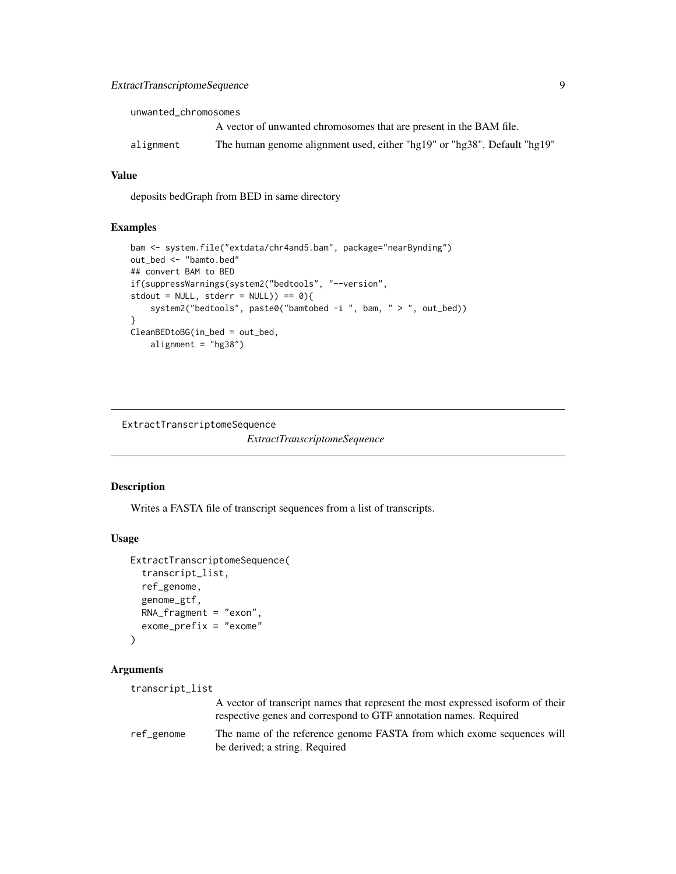<span id="page-8-0"></span>unwanted\_chromosomes

|           | A vector of unwanted chromosomes that are present in the BAM file.       |
|-----------|--------------------------------------------------------------------------|
| alignment | The human genome alignment used, either "hg19" or "hg38". Default "hg19" |

#### Value

deposits bedGraph from BED in same directory

#### Examples

```
bam <- system.file("extdata/chr4and5.bam", package="nearBynding")
out_bed <- "bamto.bed"
## convert BAM to BED
if(suppressWarnings(system2("bedtools", "--version",
stdout = NULL, stderr = NULL)) == 0}{
    system2("bedtools", paste0("bamtobed -i ", bam, " > ", out_bed))
}
CleanBEDtoBG(in_bed = out_bed,
    alignment = "hg38")
```
ExtractTranscriptomeSequence

*ExtractTranscriptomeSequence*

#### Description

Writes a FASTA file of transcript sequences from a list of transcripts.

#### Usage

```
ExtractTranscriptomeSequence(
  transcript_list,
  ref_genome,
  genome_gtf,
  RNA_fragment = "exon",
  exome_prefix = "exome"
)
```

```
transcript_list
                 A vector of transcript names that represent the most expressed isoform of their
                 respective genes and correspond to GTF annotation names. Required
ref_genome The name of the reference genome FASTA from which exome sequences will
                 be derived; a string. Required
```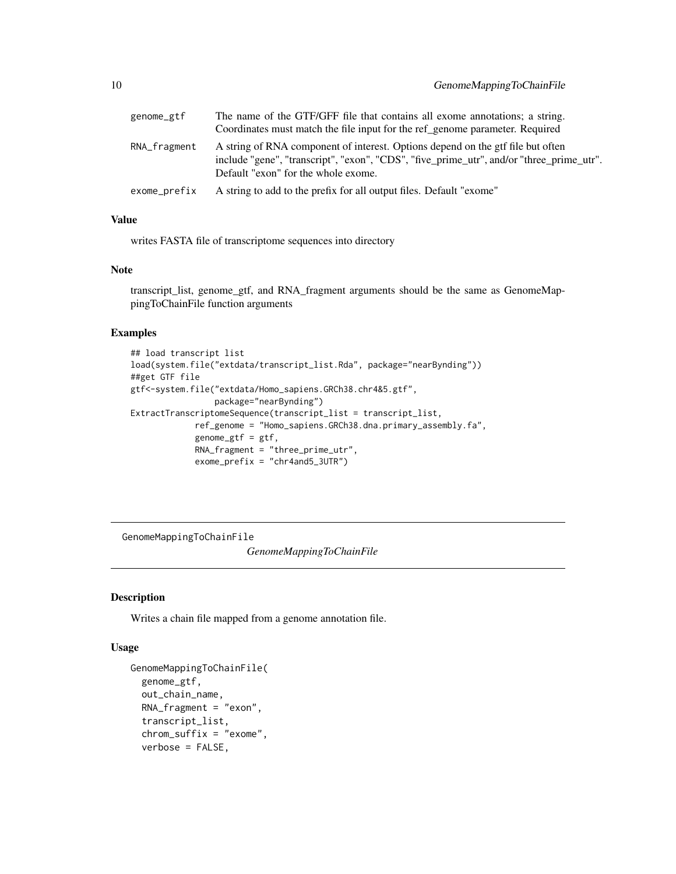<span id="page-9-0"></span>

| genome_gtf   | The name of the GTF/GFF file that contains all exome annotations; a string.                                                                                                                                        |
|--------------|--------------------------------------------------------------------------------------------------------------------------------------------------------------------------------------------------------------------|
|              | Coordinates must match the file input for the ref_genome parameter. Required                                                                                                                                       |
| RNA_fragment | A string of RNA component of interest. Options depend on the gtf file but often<br>include "gene", "transcript", "exon", "CDS", "five_prime_utr", and/or "three_prime_utr".<br>Default "exon" for the whole exome. |
| exome_prefix | A string to add to the prefix for all output files. Default "exome"                                                                                                                                                |

writes FASTA file of transcriptome sequences into directory

#### Note

transcript\_list, genome\_gtf, and RNA\_fragment arguments should be the same as GenomeMappingToChainFile function arguments

# Examples

```
## load transcript list
load(system.file("extdata/transcript_list.Rda", package="nearBynding"))
##get GTF file
gtf<-system.file("extdata/Homo_sapiens.GRCh38.chr4&5.gtf",
                 package="nearBynding")
ExtractTranscriptomeSequence(transcript_list = transcript_list,
             ref_genome = "Homo_sapiens.GRCh38.dna.primary_assembly.fa",
             genome_gtf = gtf,
             RNA_fragment = "three_prime_utr",
             exome_prefix = "chr4and5_3UTR")
```
GenomeMappingToChainFile

*GenomeMappingToChainFile*

#### Description

Writes a chain file mapped from a genome annotation file.

#### Usage

```
GenomeMappingToChainFile(
  genome_gtf,
  out_chain_name,
 RNA_fragment = "exon",
  transcript_list,
  chrom_suffix = "exome",
  verbose = FALSE,
```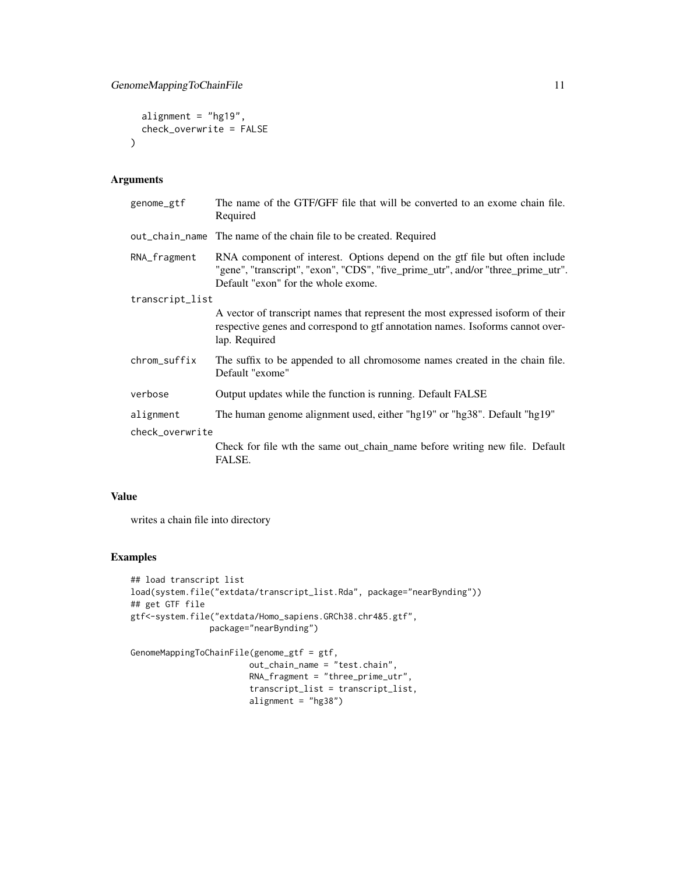```
alignment = "hg19",check_overwrite = FALSE
\mathcal{L}
```
# Arguments

| genome_gtf      | The name of the GTF/GFF file that will be converted to an exome chain file.<br>Required                                                                                                                |
|-----------------|--------------------------------------------------------------------------------------------------------------------------------------------------------------------------------------------------------|
|                 | out_chain_name The name of the chain file to be created. Required                                                                                                                                      |
| RNA_fragment    | RNA component of interest. Options depend on the gtf file but often include<br>"gene", "transcript", "exon", "CDS", "five_prime_utr", and/or "three_prime_utr".<br>Default "exon" for the whole exome. |
| transcript_list |                                                                                                                                                                                                        |
|                 | A vector of transcript names that represent the most expressed isoform of their<br>respective genes and correspond to gtf annotation names. Isoforms cannot over-<br>lap. Required                     |
| chrom_suffix    | The suffix to be appended to all chromosome names created in the chain file.<br>Default "exome"                                                                                                        |
| verbose         | Output updates while the function is running. Default FALSE                                                                                                                                            |
| alignment       | The human genome alignment used, either "hg19" or "hg38". Default "hg19"                                                                                                                               |
| check_overwrite |                                                                                                                                                                                                        |
|                 | Check for file wth the same out_chain_name before writing new file. Default<br>FALSE.                                                                                                                  |

# Value

writes a chain file into directory

# Examples

```
## load transcript list
load(system.file("extdata/transcript_list.Rda", package="nearBynding"))
## get GTF file
gtf<-system.file("extdata/Homo_sapiens.GRCh38.chr4&5.gtf",
                package="nearBynding")
```

```
GenomeMappingToChainFile(genome_gtf = gtf,
                       out_chain_name = "test.chain",
                       RNA_fragment = "three_prime_utr",
                        transcript_list = transcript_list,
                        alignment = "hg38")
```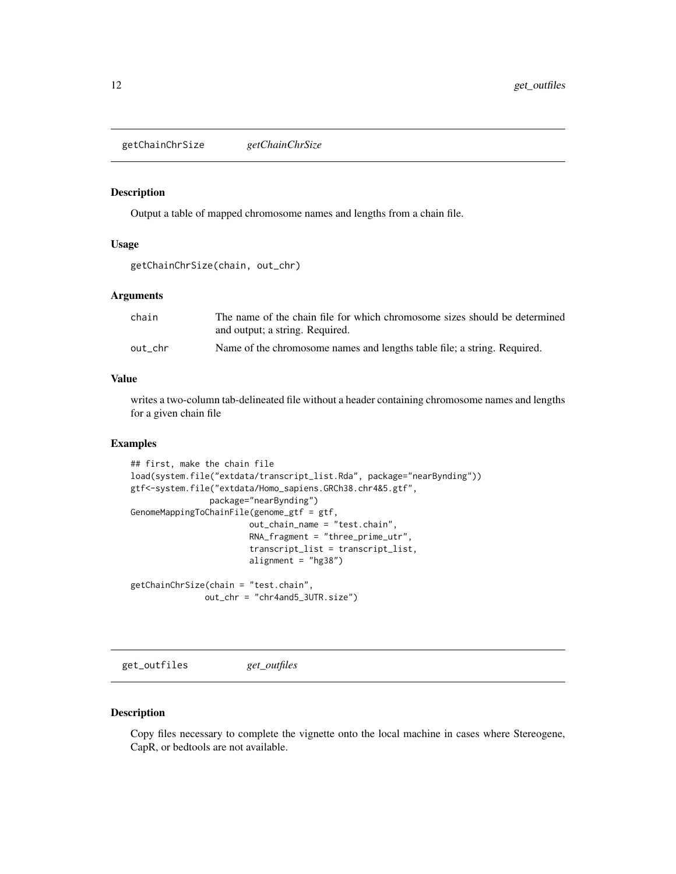<span id="page-11-0"></span>getChainChrSize *getChainChrSize*

#### Description

Output a table of mapped chromosome names and lengths from a chain file.

#### Usage

```
getChainChrSize(chain, out_chr)
```
#### Arguments

| chain   | The name of the chain file for which chromosome sizes should be determined<br>and output; a string. Required. |
|---------|---------------------------------------------------------------------------------------------------------------|
| out chr | Name of the chromosome names and lengths table file; a string. Required.                                      |

#### Value

writes a two-column tab-delineated file without a header containing chromosome names and lengths for a given chain file

# Examples

```
## first, make the chain file
load(system.file("extdata/transcript_list.Rda", package="nearBynding"))
gtf<-system.file("extdata/Homo_sapiens.GRCh38.chr4&5.gtf",
                package="nearBynding")
GenomeMappingToChainFile(genome_gtf = gtf,
                        out_chain_name = "test.chain",
                        RNA\_fragment = "three\_prime\_utr"transcript_list = transcript_list,
                        alignment = "hg38")
getChainChrSize(chain = "test.chain",
```

```
out_chr = "chr4and5_3UTR.size")
```
get\_outfiles *get\_outfiles*

#### Description

Copy files necessary to complete the vignette onto the local machine in cases where Stereogene, CapR, or bedtools are not available.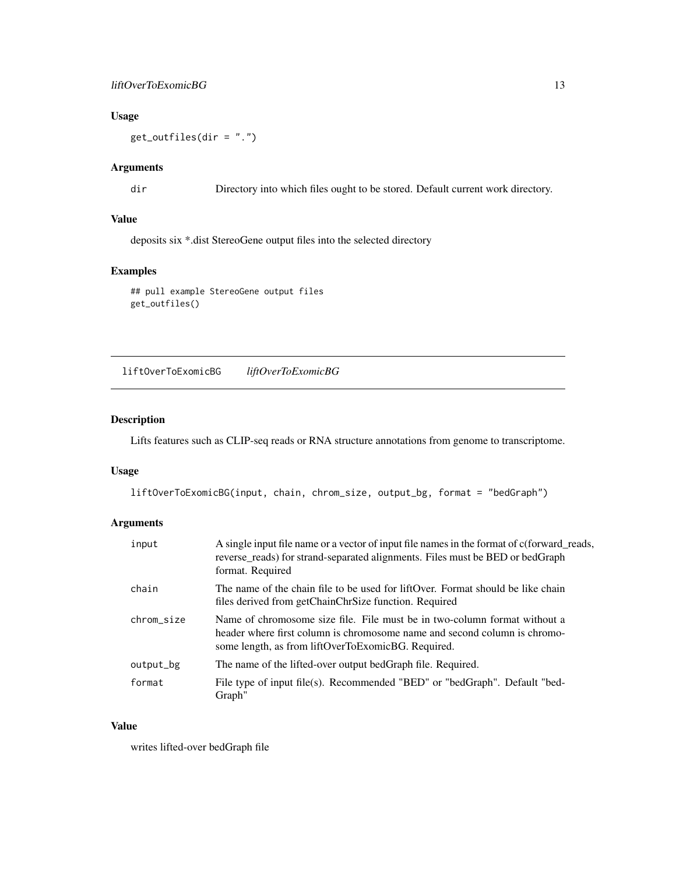# <span id="page-12-0"></span>liftOverToExomicBG 13

# Usage

get\_outfiles(dir = ".")

# Arguments

dir Directory into which files ought to be stored. Default current work directory.

# Value

deposits six \*.dist StereoGene output files into the selected directory

# Examples

```
## pull example StereoGene output files
get_outfiles()
```
liftOverToExomicBG *liftOverToExomicBG*

# Description

Lifts features such as CLIP-seq reads or RNA structure annotations from genome to transcriptome.

#### Usage

liftOverToExomicBG(input, chain, chrom\_size, output\_bg, format = "bedGraph")

# Arguments

| input      | A single input file name or a vector of input file names in the format of c(forward_reads,<br>reverse <sub>rreads</sub> ) for strand-separated alignments. Files must be BED or bedGraph<br>format. Required |
|------------|--------------------------------------------------------------------------------------------------------------------------------------------------------------------------------------------------------------|
| chain      | The name of the chain file to be used for liftOver. Format should be like chain<br>files derived from getChainChrSize function. Required                                                                     |
| chrom_size | Name of chromosome size file. File must be in two-column format without a<br>header where first column is chromosome name and second column is chromo-<br>some length, as from liftOverToExomicBG. Required. |
| output_bg  | The name of the lifted-over output bedGraph file. Required.                                                                                                                                                  |
| format     | File type of input file(s). Recommended "BED" or "bedGraph". Default "bed-<br>Graph"                                                                                                                         |

# Value

writes lifted-over bedGraph file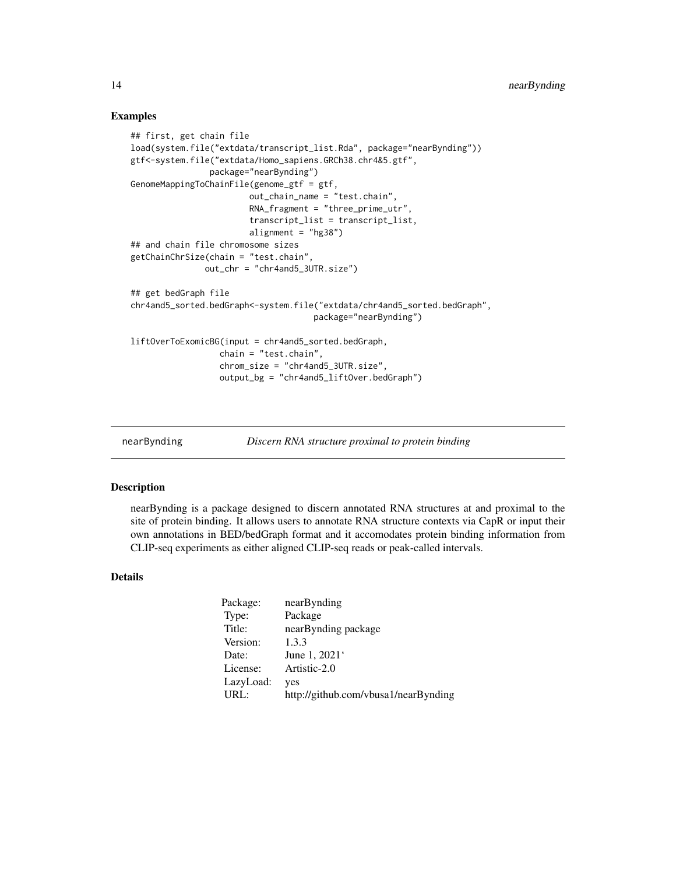#### Examples

```
## first, get chain file
load(system.file("extdata/transcript_list.Rda", package="nearBynding"))
gtf<-system.file("extdata/Homo_sapiens.GRCh38.chr4&5.gtf",
                package="nearBynding")
GenomeMappingToChainFile(genome_gtf = gtf,
                        out_chain_name = "test.chain",
                        RNA_fragment = "three_prime_utr",
                        transcript_list = transcript_list,
                        alignment = "hg38")
## and chain file chromosome sizes
getChainChrSize(chain = "test.chain",
              out_chr = "chr4and5_3UTR.size")
## get bedGraph file
chr4and5_sorted.bedGraph<-system.file("extdata/chr4and5_sorted.bedGraph",
                                     package="nearBynding")
liftOverToExomicBG(input = chr4and5_sorted.bedGraph,
                  chain = "test.chain",
                  chrom_size = "chr4and5_3UTR.size",
                  output_bg = "chr4and5_liftOver.bedGraph")
```
nearBynding *Discern RNA structure proximal to protein binding*

#### Description

nearBynding is a package designed to discern annotated RNA structures at and proximal to the site of protein binding. It allows users to annotate RNA structure contexts via CapR or input their own annotations in BED/bedGraph format and it accomodates protein binding information from CLIP-seq experiments as either aligned CLIP-seq reads or peak-called intervals.

#### Details

| Package:  | nearBynding                          |
|-----------|--------------------------------------|
| Type:     | Package                              |
| Title:    | nearBynding package                  |
| Version:  | 1.3.3                                |
| Date:     | June 1, 2021 <sup>.</sup>            |
| License:  | Artistic-2.0                         |
| LazyLoad: | yes                                  |
| URL:      | http://github.com/vbusa1/nearBynding |

<span id="page-13-0"></span>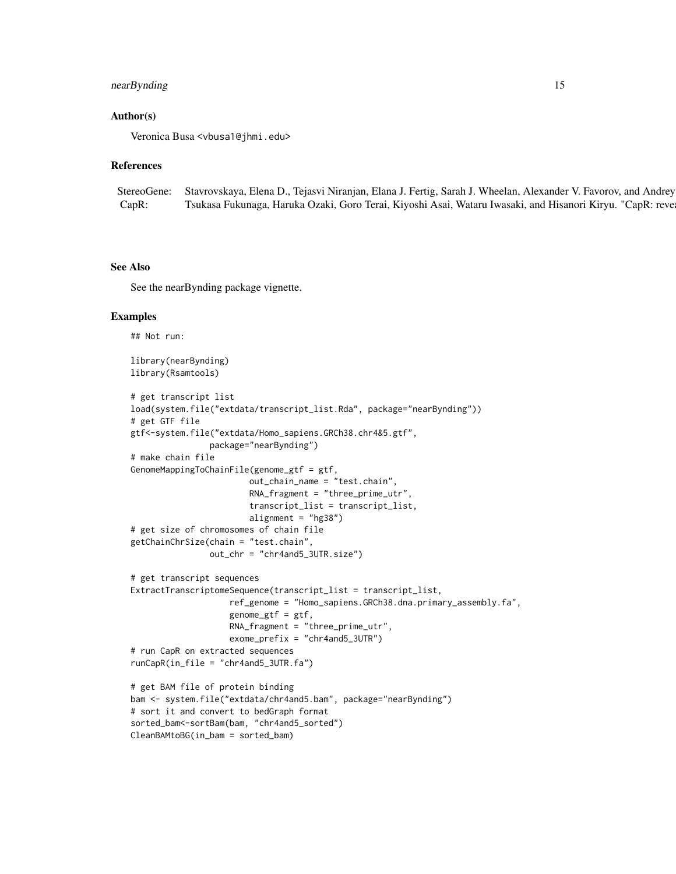# nearBynding 15

#### Author(s)

Veronica Busa <vbusa1@jhmi.edu>

#### References

StereoGene: Stavrovskaya, Elena D., Tejasvi Niranjan, Elana J. Fertig, Sarah J. Wheelan, Alexander V. Favorov, and Andrey CapR: Tsukasa Fukunaga, Haruka Ozaki, Goro Terai, Kiyoshi Asai, Wataru Iwasaki, and Hisanori Kiryu. "CapR: reve

#### See Also

See the nearBynding package vignette.

#### Examples

## Not run:

library(nearBynding) library(Rsamtools)

```
# get transcript list
load(system.file("extdata/transcript_list.Rda", package="nearBynding"))
# get GTF file
gtf<-system.file("extdata/Homo_sapiens.GRCh38.chr4&5.gtf",
                package="nearBynding")
# make chain file
GenomeMappingToChainFile(genome_gtf = gtf,
                        out_chain_name = "test.chain",
                        RNA\_fragment = "three\_prime\_utr"transcript_list = transcript_list,
                        alignment = "hg38")
# get size of chromosomes of chain file
getChainChrSize(chain = "test.chain",
                out_chr = "chr4and5_3UTR.size")
# get transcript sequences
ExtractTranscriptomeSequence(transcript_list = transcript_list,
                    ref_genome = "Homo_sapiens.GRCh38.dna.primary_assembly.fa",
                    genome_gtf = gtf,
                    RNA_fragment = "three_prime_utr",
                    exome_prefix = "chr4and5_3UTR")
# run CapR on extracted sequences
runCapR(in_file = "chr4and5_3UTR.fa")
# get BAM file of protein binding
bam <- system.file("extdata/chr4and5.bam", package="nearBynding")
# sort it and convert to bedGraph format
sorted_bam<-sortBam(bam, "chr4and5_sorted")
```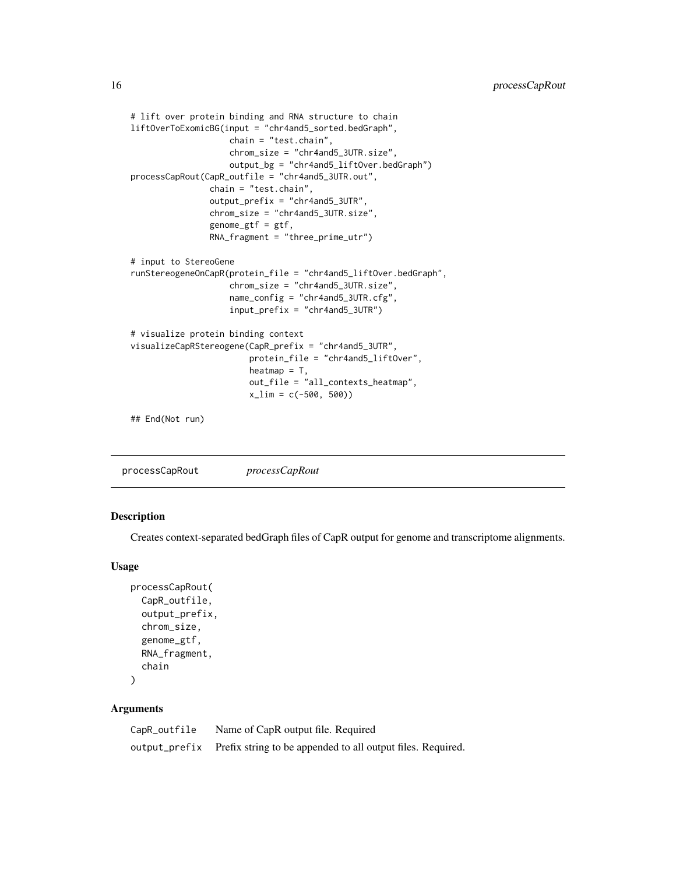```
# lift over protein binding and RNA structure to chain
liftOverToExomicBG(input = "chr4and5_sorted.bedGraph",
                    chain = "test.chain",
                    chrom_size = "chr4and5_3UTR.size",
                    output_bg = "chr4and5_liftOver.bedGraph")
processCapRout(CapR_outfile = "chr4and5_3UTR.out",
                chain = "test.chain",
                output_prefix = "chr4and5_3UTR",
                chrom_size = "chr4and5_3UTR.size",
                genome_gtf = gtf,
                RNA_fragment = "three_prime_utr")
# input to StereoGene
runStereogeneOnCapR(protein_file = "chr4and5_liftOver.bedGraph",
                    chrom_size = "chr4and5_3UTR.size",
                    name_config = "chr4and5_3UTR.cfg",
                    input_prefix = "chr4and5_3UTR")
# visualize protein binding context
visualizeCapRStereogene(CapR_prefix = "chr4and5_3UTR",
                        protein_file = "chr4and5_liftOver",
                        heatmap = T,
                        out_file = "all_contexts_heatmap",
                        x_lim = c(-500, 500))
## End(Not run)
```

# Description

Creates context-separated bedGraph files of CapR output for genome and transcriptome alignments.

#### Usage

```
processCapRout(
 CapR_outfile,
  output_prefix,
 chrom_size,
  genome_gtf,
 RNA_fragment,
  chain
```
 $\mathcal{L}$ 

| CapR_outfile | Name of CapR output file. Required                                        |
|--------------|---------------------------------------------------------------------------|
|              | output_prefix Prefix string to be appended to all output files. Required. |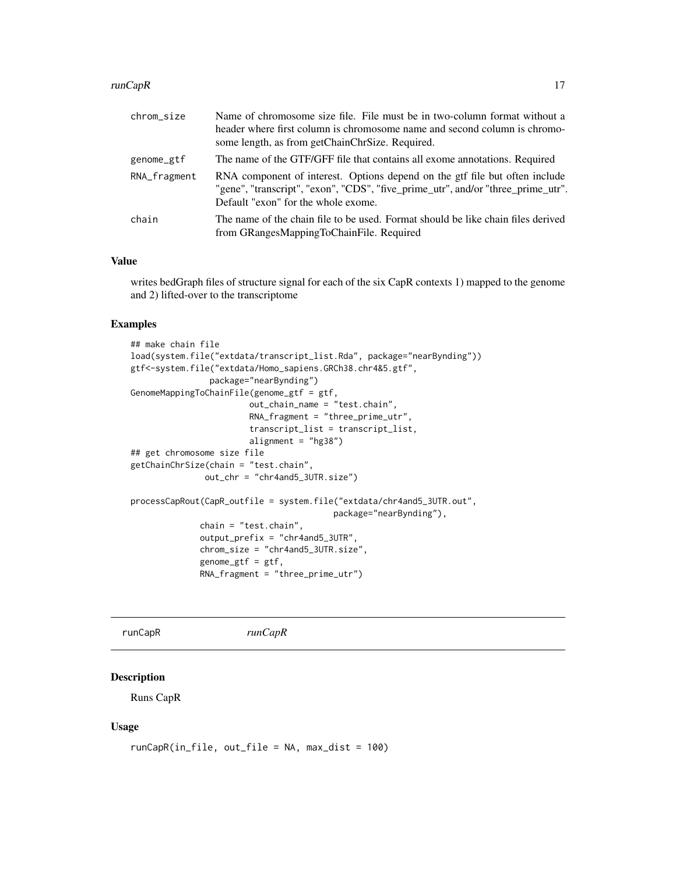#### <span id="page-16-0"></span> $runCapR$  17

| chrom_size   | Name of chromosome size file. File must be in two-column format without a<br>header where first column is chromosome name and second column is chromo-<br>some length, as from getChainChrSize. Required. |
|--------------|-----------------------------------------------------------------------------------------------------------------------------------------------------------------------------------------------------------|
| genome_gtf   | The name of the GTF/GFF file that contains all exome annotations. Required                                                                                                                                |
| RNA_fragment | RNA component of interest. Options depend on the gtf file but often include<br>"gene", "transcript", "exon", "CDS", "five_prime_utr", and/or "three_prime_utr".<br>Default "exon" for the whole exome.    |
| chain        | The name of the chain file to be used. Format should be like chain files derived<br>from GRangesMappingToChainFile. Required                                                                              |

## Value

writes bedGraph files of structure signal for each of the six CapR contexts 1) mapped to the genome and 2) lifted-over to the transcriptome

# Examples

```
## make chain file
load(system.file("extdata/transcript_list.Rda", package="nearBynding"))
gtf<-system.file("extdata/Homo_sapiens.GRCh38.chr4&5.gtf",
                package="nearBynding")
GenomeMappingToChainFile(genome_gtf = gtf,
                        out_chain_name = "test.chain",
                        RNA_fragment = "three_prime_utr",
                        transcript_list = transcript_list,
                        alignment = "hg38")
## get chromosome size file
getChainChrSize(chain = "test.chain",
              out_chr = "chr4and5_3UTR.size")
processCapRout(CapR_outfile = system.file("extdata/chr4and5_3UTR.out",
                                         package="nearBynding"),
             chain = "test.chain",
              output_prefix = "chr4and5_3UTR",
              chrom_size = "chr4and5_3UTR.size",
              genome_gtf = gf,RNA_fragment = "three_prime_utr")
```
runCapR *runCapR*

# Description

Runs CapR

#### Usage

```
runCapR(in_file, out_file = NA, max_dist = 100)
```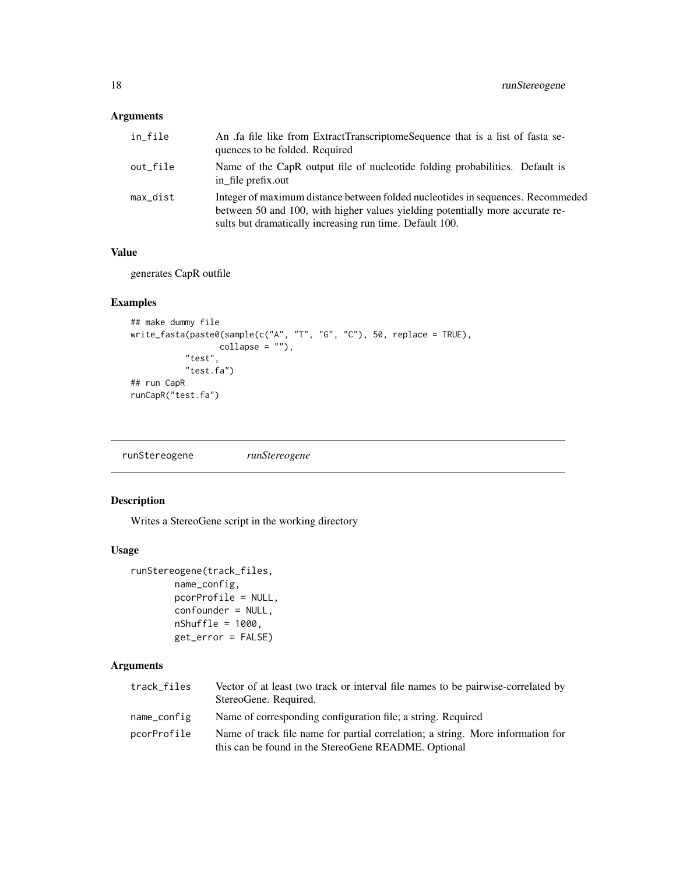# <span id="page-17-0"></span>Arguments

| in_file  | An .fa file like from ExtractTranscriptomeSequence that is a list of fasta se-<br>quences to be folded. Required                                                                                                             |
|----------|------------------------------------------------------------------------------------------------------------------------------------------------------------------------------------------------------------------------------|
| out_file | Name of the CapR output file of nucleotide folding probabilities. Default is<br>in_file prefix.out                                                                                                                           |
| max_dist | Integer of maximum distance between folded nucleotides in sequences. Recommeded<br>between 50 and 100, with higher values yielding potentially more accurate re-<br>sults but dramatically increasing run time. Default 100. |

#### Value

generates CapR outfile

# Examples

```
## make dummy file
write_fasta(paste0(sample(c("A", "T", "G", "C"), 50, replace = TRUE),
                 collapse = ""),
           "test",
           "test.fa")
## run CapR
runCapR("test.fa")
```
runStereogene *runStereogene*

# Description

Writes a StereoGene script in the working directory

#### Usage

```
runStereogene(track_files,
       name_config,
       pcorProfile = NULL,
       confounder = NULL,
       nShuffle = 1000,get_error = FALSE)
```

| track_files | Vector of at least two track or interval file names to be pairwise-correlated by<br>StereoGene. Required.                               |
|-------------|-----------------------------------------------------------------------------------------------------------------------------------------|
| name_config | Name of corresponding configuration file; a string. Required                                                                            |
| pcorProfile | Name of track file name for partial correlation; a string. More information for<br>this can be found in the StereoGene README. Optional |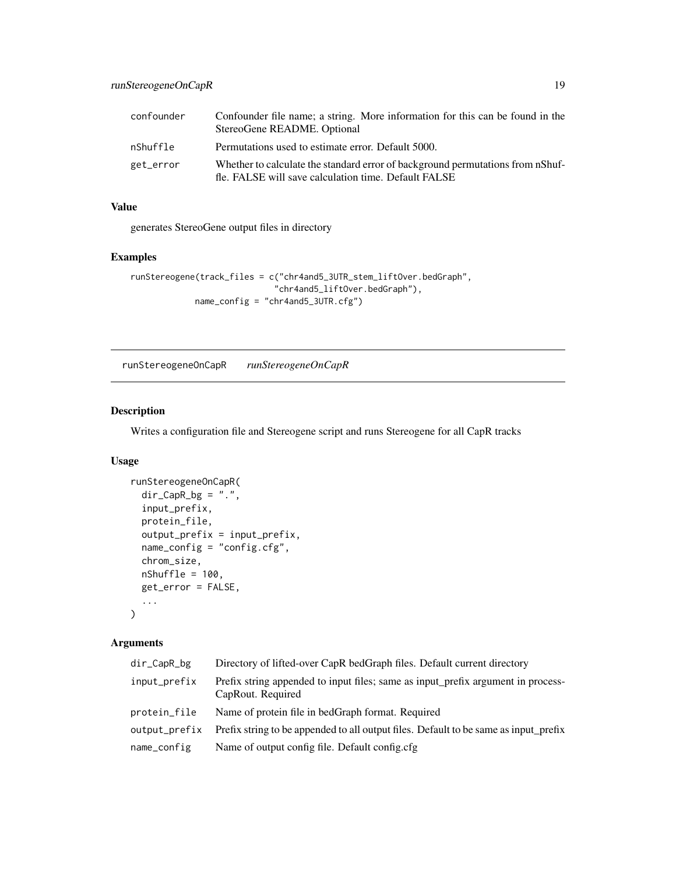<span id="page-18-0"></span>

| confounder | Confounder file name; a string. More information for this can be found in the<br>StereoGene README. Optional                           |
|------------|----------------------------------------------------------------------------------------------------------------------------------------|
| nShuffle   | Permutations used to estimate error. Default 5000.                                                                                     |
| get_error  | Whether to calculate the standard error of background permutations from nShuf-<br>fle. FALSE will save calculation time. Default FALSE |

generates StereoGene output files in directory

#### Examples

```
runStereogene(track_files = c("chr4and5_3UTR_stem_liftOver.bedGraph",
                             "chr4and5_liftOver.bedGraph"),
            name_config = "chr4and5_3UTR.cfg")
```
runStereogeneOnCapR *runStereogeneOnCapR*

#### Description

Writes a configuration file and Stereogene script and runs Stereogene for all CapR tracks

# Usage

```
runStereogeneOnCapR(
 dir\_CapR_bg = "."input_prefix,
 protein_file,
 output_prefix = input_prefix,
 name\_config = "config.cfg",chrom_size,
 nShuffle = 100,get_error = FALSE,
  ...
)
```

| dir_CapR_bg   | Directory of lifted-over CapR bedGraph files. Default current directory                               |
|---------------|-------------------------------------------------------------------------------------------------------|
| input_prefix  | Prefix string appended to input files; same as input_prefix argument in process-<br>CapRout. Required |
| protein_file  | Name of protein file in bedGraph format. Required                                                     |
| output_prefix | Prefix string to be appended to all output files. Default to be same as input prefix                  |
| name_config   | Name of output config file. Default config.cfg                                                        |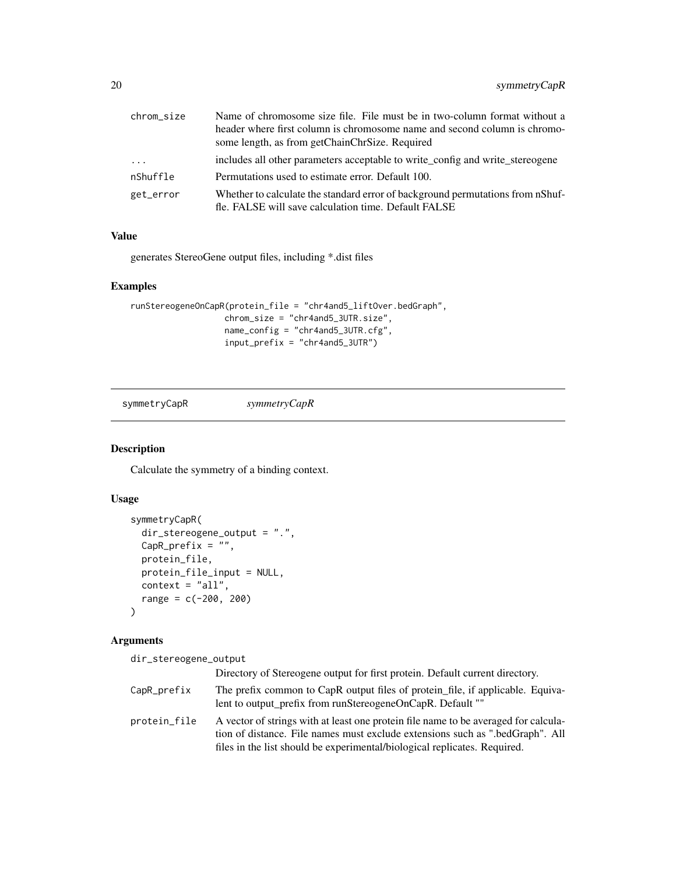<span id="page-19-0"></span>

| chrom size | Name of chromosome size file. File must be in two-column format without a                                                              |
|------------|----------------------------------------------------------------------------------------------------------------------------------------|
|            | header where first column is chromosome name and second column is chromo-                                                              |
|            | some length, as from getChainChrSize. Required                                                                                         |
| $\ddotsc$  | includes all other parameters acceptable to write_config and write_stereogene                                                          |
| nShuffle   | Permutations used to estimate error. Default 100.                                                                                      |
| get_error  | Whether to calculate the standard error of background permutations from nShuf-<br>fle. FALSE will save calculation time. Default FALSE |

generates StereoGene output files, including \*.dist files

#### Examples

```
runStereogeneOnCapR(protein_file = "chr4and5_liftOver.bedGraph",
                   chrom_size = "chr4and5_3UTR.size",
                   name_config = "chr4and5_3UTR.cfg",
                   input_prefix = "chr4and5_3UTR")
```
symmetryCapR *symmetryCapR*

# Description

Calculate the symmetry of a binding context.

# Usage

```
symmetryCapR(
 dir_stereogene_output = ".",
 CapR_prefix = ",
 protein_file,
 protein_file_input = NULL,
 context = "all",range = c(-200, 200))
```
# Arguments

dir\_stereogene\_output

|              | Directory of Stereogene output for first protein. Default current directory.                                                                                                                                                                      |
|--------------|---------------------------------------------------------------------------------------------------------------------------------------------------------------------------------------------------------------------------------------------------|
| CapR_prefix  | The prefix common to CapR output files of protein file, if applicable. Equiva-<br>lent to output prefix from runStereogeneOnCapR. Default ""                                                                                                      |
| protein_file | A vector of strings with at least one protein file name to be averaged for calcula-<br>tion of distance. File names must exclude extensions such as ".bedGraph". All<br>files in the list should be experimental/biological replicates. Required. |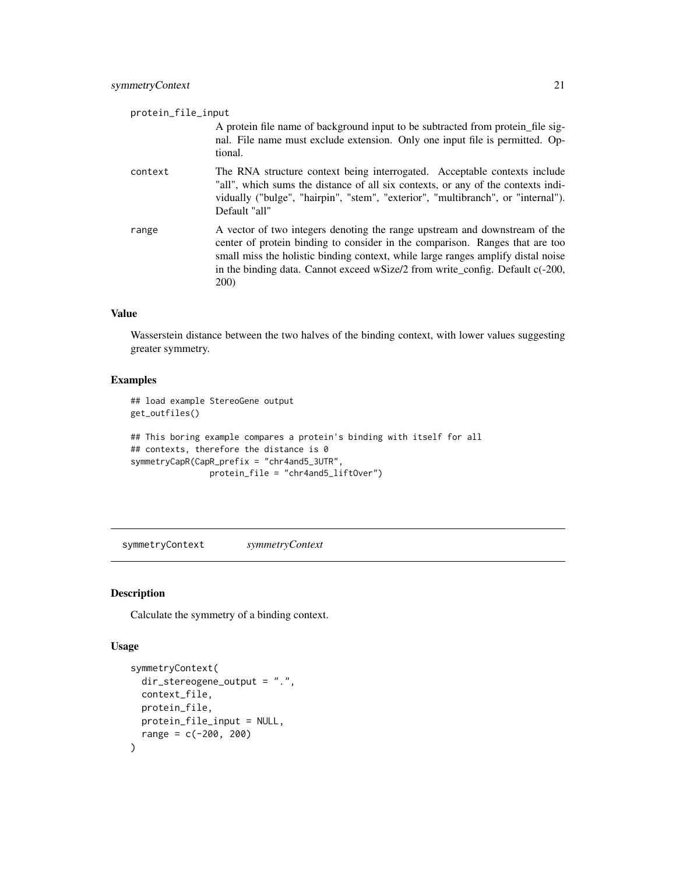<span id="page-20-0"></span>

| protein_file_input |                                                                                                                                                                                                                                                                                                                                                 |
|--------------------|-------------------------------------------------------------------------------------------------------------------------------------------------------------------------------------------------------------------------------------------------------------------------------------------------------------------------------------------------|
|                    | A protein file name of background input to be subtracted from protein file sig-<br>nal. File name must exclude extension. Only one input file is permitted. Op-<br>tional.                                                                                                                                                                      |
| context            | The RNA structure context being interrogated. Acceptable contexts include<br>"all", which sums the distance of all six contexts, or any of the contexts indi-<br>vidually ("bulge", "hairpin", "stem", "exterior", "multibranch", or "internal").<br>Default "all"                                                                              |
| range              | A vector of two integers denoting the range upstream and downstream of the<br>center of protein binding to consider in the comparison. Ranges that are too<br>small miss the holistic binding context, while large ranges amplify distal noise<br>in the binding data. Cannot exceed wSize/2 from write_config. Default c(-200,<br><b>200</b> ) |

Wasserstein distance between the two halves of the binding context, with lower values suggesting greater symmetry.

#### Examples

```
## load example StereoGene output
get_outfiles()
```

```
## This boring example compares a protein's binding with itself for all
## contexts, therefore the distance is 0
symmetryCapR(CapR_prefix = "chr4and5_3UTR",
               protein_file = "chr4and5_liftOver")
```
symmetryContext *symmetryContext*

# Description

Calculate the symmetry of a binding context.

#### Usage

```
symmetryContext(
 dir_stereogene_output = ".",
 context_file,
 protein_file,
 protein_file_input = NULL,
  range = c(-200, 200)\mathcal{E}
```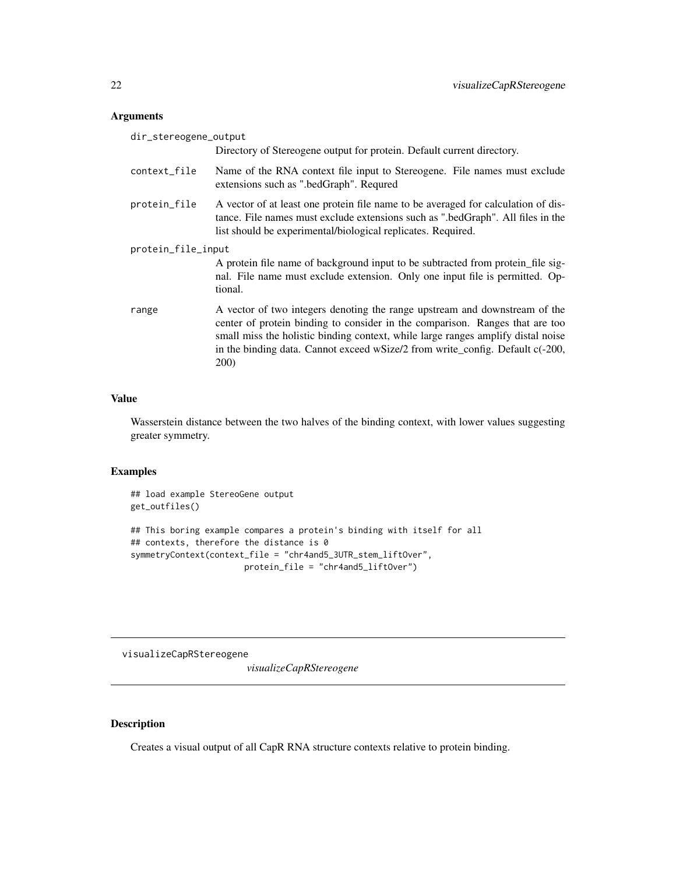# <span id="page-21-0"></span>Arguments

| dir_stereogene_output |                                                                                                                                                                                                                                                                                                                                                 |
|-----------------------|-------------------------------------------------------------------------------------------------------------------------------------------------------------------------------------------------------------------------------------------------------------------------------------------------------------------------------------------------|
|                       | Directory of Stereogene output for protein. Default current directory.                                                                                                                                                                                                                                                                          |
| context_file          | Name of the RNA context file input to Stereogene. File names must exclude<br>extensions such as ".bedGraph". Requred                                                                                                                                                                                                                            |
| protein_file          | A vector of at least one protein file name to be averaged for calculation of dis-<br>tance. File names must exclude extensions such as ".bedGraph". All files in the<br>list should be experimental/biological replicates. Required.                                                                                                            |
| protein_file_input    |                                                                                                                                                                                                                                                                                                                                                 |
|                       | A protein file name of background input to be subtracted from protein file sig-<br>nal. File name must exclude extension. Only one input file is permitted. Op-<br>tional.                                                                                                                                                                      |
| range                 | A vector of two integers denoting the range upstream and downstream of the<br>center of protein binding to consider in the comparison. Ranges that are too<br>small miss the holistic binding context, while large ranges amplify distal noise<br>in the binding data. Cannot exceed wSize/2 from write_config. Default c(-200,<br><b>200</b> ) |

#### Value

Wasserstein distance between the two halves of the binding context, with lower values suggesting greater symmetry.

# Examples

```
## load example StereoGene output
get_outfiles()
## This boring example compares a protein's binding with itself for all
## contexts, therefore the distance is 0
symmetryContext(context_file = "chr4and5_3UTR_stem_liftOver",
                      protein_file = "chr4and5_liftOver")
```
visualizeCapRStereogene

*visualizeCapRStereogene*

# Description

Creates a visual output of all CapR RNA structure contexts relative to protein binding.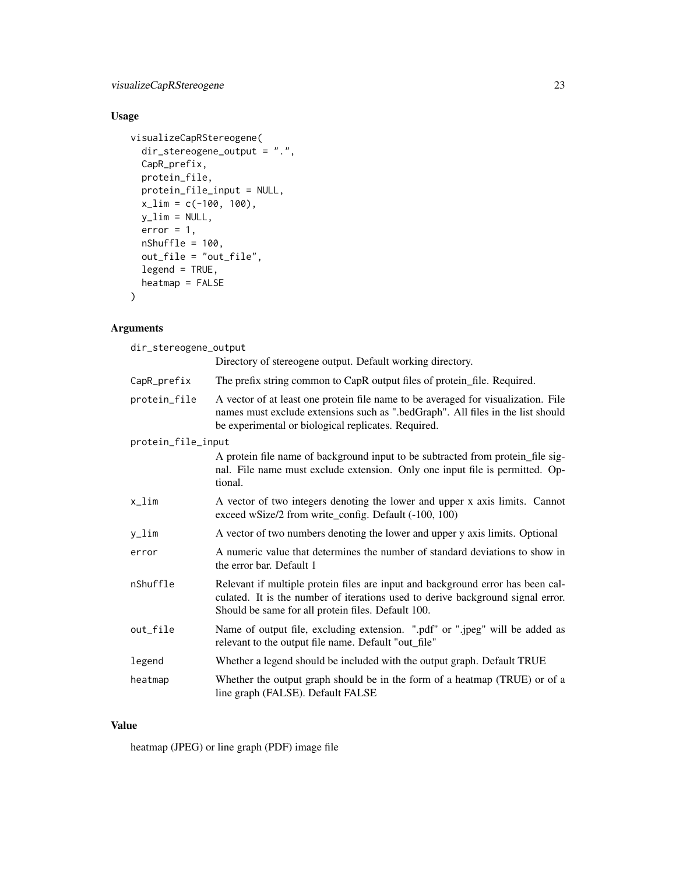visualizeCapRStereogene 23

# Usage

```
visualizeCapRStereogene(
  dir_stereogene_output = ".",
  CapR_prefix,
  protein_file,
  protein_file_input = NULL,
  x_l = c(-100, 100),
  y<sup>-</sup>lim = NULL,
  error = 1,nShuffle = 100,
  out_file = "out_file",
  legend = TRUE,heatmap = FALSE
)
```
# Arguments

| dir_stereogene_output |                                                                                                                                                                                                                             |  |
|-----------------------|-----------------------------------------------------------------------------------------------------------------------------------------------------------------------------------------------------------------------------|--|
|                       | Directory of stereogene output. Default working directory.                                                                                                                                                                  |  |
| CapR_prefix           | The prefix string common to CapR output files of protein_file. Required.                                                                                                                                                    |  |
| protein_file          | A vector of at least one protein file name to be averaged for visualization. File<br>names must exclude extensions such as ".bedGraph". All files in the list should<br>be experimental or biological replicates. Required. |  |
| protein_file_input    |                                                                                                                                                                                                                             |  |
|                       | A protein file name of background input to be subtracted from protein_file sig-<br>nal. File name must exclude extension. Only one input file is permitted. Op-<br>tional.                                                  |  |
| x_lim                 | A vector of two integers denoting the lower and upper x axis limits. Cannot<br>exceed wSize/2 from write_config. Default (-100, 100)                                                                                        |  |
| y_lim                 | A vector of two numbers denoting the lower and upper y axis limits. Optional                                                                                                                                                |  |
| error                 | A numeric value that determines the number of standard deviations to show in<br>the error bar. Default 1                                                                                                                    |  |
| nShuffle              | Relevant if multiple protein files are input and background error has been cal-<br>culated. It is the number of iterations used to derive background signal error.<br>Should be same for all protein files. Default 100.    |  |
| out_file              | Name of output file, excluding extension. ".pdf" or ".jpeg" will be added as<br>relevant to the output file name. Default "out_file"                                                                                        |  |
| legend                | Whether a legend should be included with the output graph. Default TRUE                                                                                                                                                     |  |
| heatmap               | Whether the output graph should be in the form of a heatmap (TRUE) or of a<br>line graph (FALSE). Default FALSE                                                                                                             |  |

#### Value

heatmap (JPEG) or line graph (PDF) image file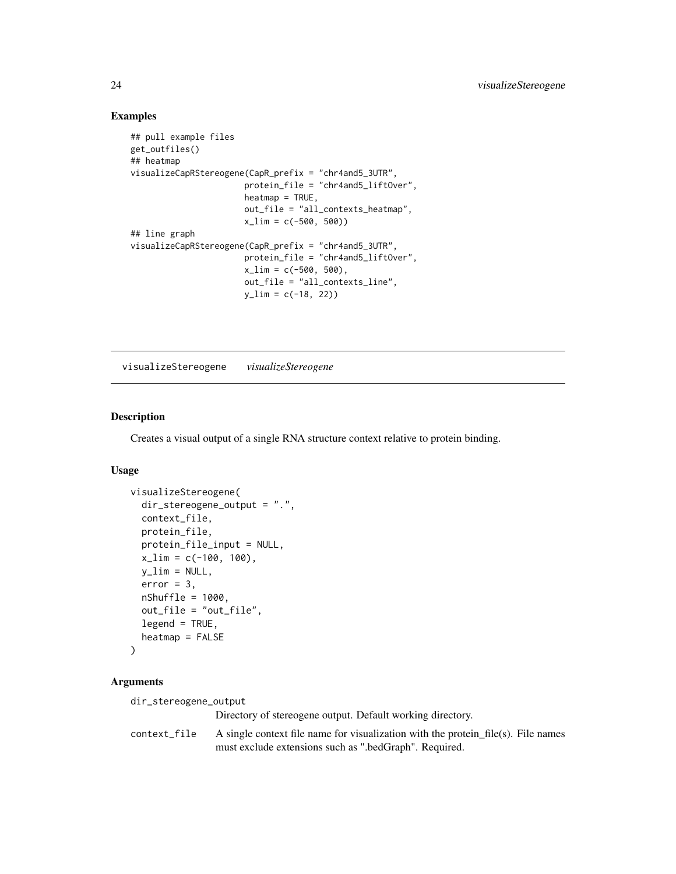#### Examples

```
## pull example files
get_outfiles()
## heatmap
visualizeCapRStereogene(CapR_prefix = "chr4and5_3UTR",
                       protein_file = "chr4and5_liftOver",
                       heatmap = TRUE,out_file = "all_contexts_heatmap",
                       x_{\text{min}} = c(-500, 500)## line graph
visualizeCapRStereogene(CapR_prefix = "chr4and5_3UTR",
                       protein_file = "chr4and5_liftOver",
                       x_l = c(-500, 500),
                       out_file = "all_contexts_line",
                       y_llim = c(-18, 22)
```
visualizeStereogene *visualizeStereogene*

#### Description

Creates a visual output of a single RNA structure context relative to protein binding.

#### Usage

```
visualizeStereogene(
  dir_stereogene_output = ".",
  context_file,
  protein_file,
  protein_file_input = NULL,
  x_{\text{l}}im = c(-100, 100),
  y<sup>-</sup>lim = NULL,
  error = 3,
  nShuffle = 1000,
  out_file = "out_file",
  legend = TRUE,
  heatmap = FALSE
)
```
# Arguments

dir\_stereogene\_output

Directory of stereogene output. Default working directory.

```
context_file A single context file name for visualization with the protein_file(s). File names
                  must exclude extensions such as ".bedGraph". Required.
```
<span id="page-23-0"></span>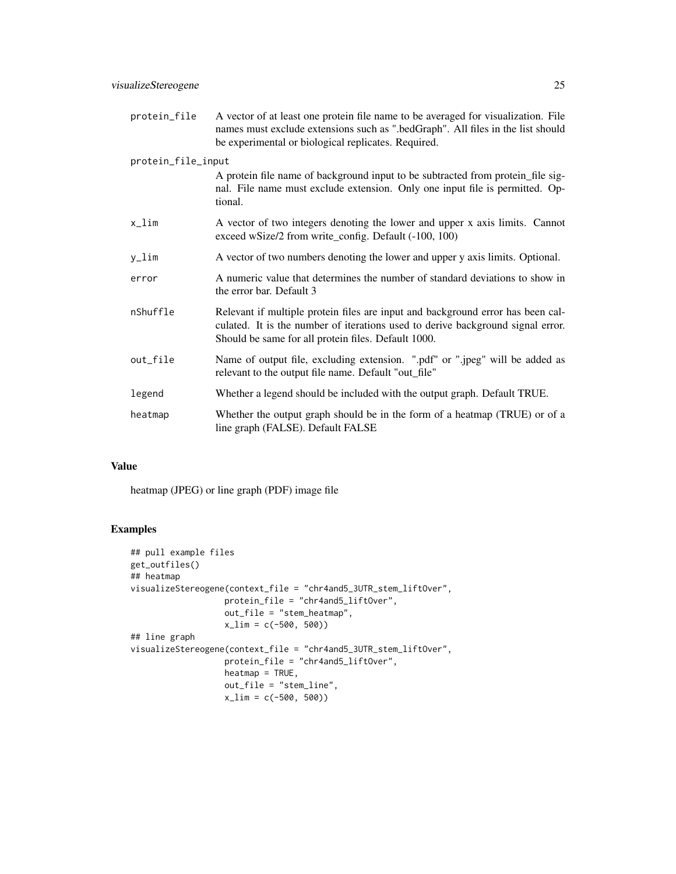| protein_file       | A vector of at least one protein file name to be averaged for visualization. File<br>names must exclude extensions such as ".bedGraph". All files in the list should<br>be experimental or biological replicates. Required. |  |
|--------------------|-----------------------------------------------------------------------------------------------------------------------------------------------------------------------------------------------------------------------------|--|
| protein_file_input |                                                                                                                                                                                                                             |  |
|                    | A protein file name of background input to be subtracted from protein_file sig-<br>nal. File name must exclude extension. Only one input file is permitted. Op-<br>tional.                                                  |  |
| $x_l$ im           | A vector of two integers denoting the lower and upper x axis limits. Cannot<br>exceed wSize/2 from write_config. Default (-100, 100)                                                                                        |  |
| $y_l$ im           | A vector of two numbers denoting the lower and upper y axis limits. Optional.                                                                                                                                               |  |
| error              | A numeric value that determines the number of standard deviations to show in<br>the error bar. Default 3                                                                                                                    |  |
| nShuffle           | Relevant if multiple protein files are input and background error has been cal-<br>culated. It is the number of iterations used to derive background signal error.<br>Should be same for all protein files. Default 1000.   |  |
| out_file           | Name of output file, excluding extension. ".pdf" or ".jpeg" will be added as<br>relevant to the output file name. Default "out_file"                                                                                        |  |
| legend             | Whether a legend should be included with the output graph. Default TRUE.                                                                                                                                                    |  |
| heatmap            | Whether the output graph should be in the form of a heatmap (TRUE) or of a<br>line graph (FALSE). Default FALSE                                                                                                             |  |

heatmap (JPEG) or line graph (PDF) image file

# Examples

```
## pull example files
get_outfiles()
## heatmap
visualizeStereogene(context_file = "chr4and5_3UTR_stem_liftOver",
                  protein_file = "chr4and5_liftOver",
                  out_file = "stem_heatmap",
                  x_lim = c(-500, 500))
## line graph
visualizeStereogene(context_file = "chr4and5_3UTR_stem_liftOver",
                  protein_file = "chr4and5_liftOver",
                  heatmap = TRUE,
                  out_file = "stem_line",
                  x_lim = c(-500, 500))
```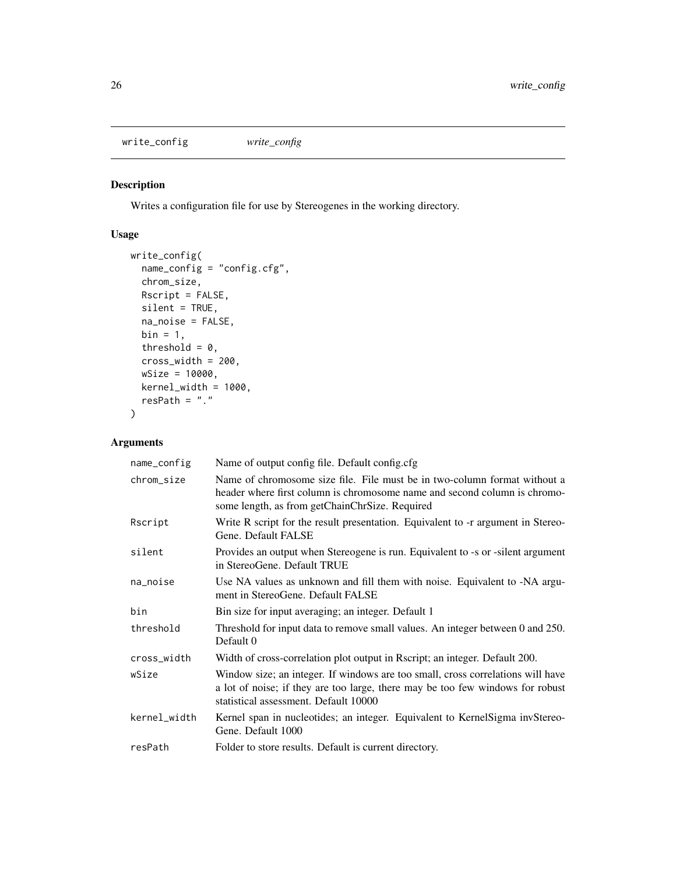<span id="page-25-0"></span>write\_config *write\_config*

# Description

Writes a configuration file for use by Stereogenes in the working directory.

# Usage

```
write_config(
 name_config = "config.cfg",
 chrom_size,
 Rscript = FALSE,
 silent = TRUE,
 na_noise = FALSE,
 bin = 1,
 threshold = 0,
 cross_width = 200,
 wSize = 10000,
 kernel_width = 1000,
  resPath = ".")
```

| name_config  | Name of output config file. Default config.cfg                                                                                                                                                             |
|--------------|------------------------------------------------------------------------------------------------------------------------------------------------------------------------------------------------------------|
| chrom_size   | Name of chromosome size file. File must be in two-column format without a<br>header where first column is chromosome name and second column is chromo-<br>some length, as from getChainChrSize. Required   |
| Rscript      | Write R script for the result presentation. Equivalent to -r argument in Stereo-<br>Gene. Default FALSE                                                                                                    |
| silent       | Provides an output when Stereogene is run. Equivalent to -s or -silent argument<br>in StereoGene. Default TRUE                                                                                             |
| na_noise     | Use NA values as unknown and fill them with noise. Equivalent to -NA argu-<br>ment in StereoGene. Default FALSE                                                                                            |
| bin          | Bin size for input averaging; an integer. Default 1                                                                                                                                                        |
| threshold    | Threshold for input data to remove small values. An integer between 0 and 250.<br>Default 0                                                                                                                |
| cross_width  | Width of cross-correlation plot output in Rscript; an integer. Default 200.                                                                                                                                |
| wSize        | Window size; an integer. If windows are too small, cross correlations will have<br>a lot of noise; if they are too large, there may be too few windows for robust<br>statistical assessment. Default 10000 |
| kernel_width | Kernel span in nucleotides; an integer. Equivalent to KernelSigma invStereo-<br>Gene. Default 1000                                                                                                         |
| resPath      | Folder to store results. Default is current directory.                                                                                                                                                     |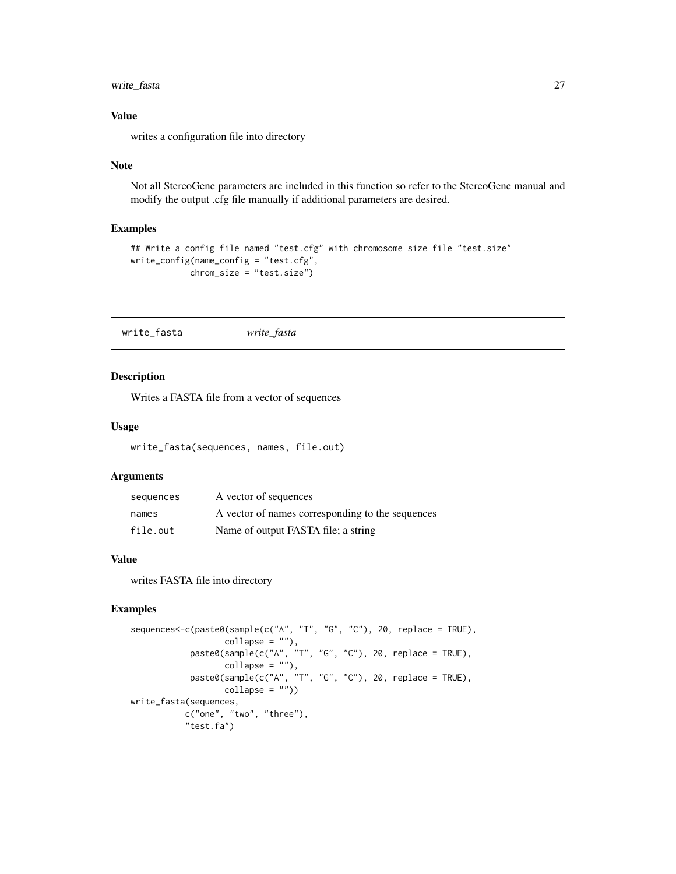# <span id="page-26-0"></span>write\_fasta 27

# Value

writes a configuration file into directory

#### Note

Not all StereoGene parameters are included in this function so refer to the StereoGene manual and modify the output .cfg file manually if additional parameters are desired.

#### Examples

```
## Write a config file named "test.cfg" with chromosome size file "test.size"
write_config(name_config = "test.cfg",
            chrom_size = "test.size")
```
write\_fasta *write\_fasta*

## Description

Writes a FASTA file from a vector of sequences

#### Usage

write\_fasta(sequences, names, file.out)

#### Arguments

| sequences | A vector of sequences                            |
|-----------|--------------------------------------------------|
| names     | A vector of names corresponding to the sequences |
| file.out  | Name of output FASTA file; a string              |

#### Value

writes FASTA file into directory

# Examples

```
sequences<-c(paste0(sample(c("A", "T", "G", "C"), 20, replace = TRUE),
                   collapse = ""),
            paste0(sample(c("A", "T", "G", "C"), 20, replace = TRUE),
                  collapse = ""),
            paste0(sample(c("A", "T", "G", "C"), 20, replace = TRUE),
                   collapse = ""))
write_fasta(sequences,
           c("one", "two", "three"),
           "test.fa")
```